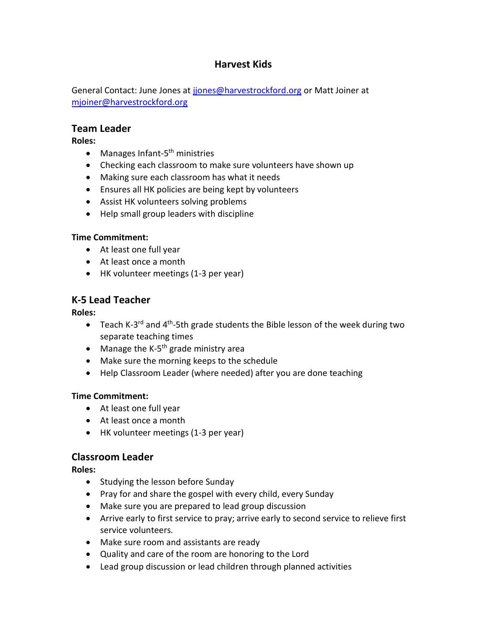# **Harvest Kids**

General Contact: June Jones at jones@harvestrockford.org or Matt Joiner at [mjoiner@harvestrockford.org](mailto:mjoiner@harvestrockford.org)

### **Team Leader**

**Roles:**

- Manages Infant-5<sup>th</sup> ministries
- Checking each classroom to make sure volunteers have shown up
- Making sure each classroom has what it needs
- Ensures all HK policies are being kept by volunteers
- Assist HK volunteers solving problems
- Help small group leaders with discipline

#### **Time Commitment:**

- At least one full year
- At least once a month
- HK volunteer meetings (1-3 per year)

# **K-5 Lead Teacher**

**Roles:**

- Teach K-3<sup>rd</sup> and 4<sup>th</sup>-5th grade students the Bible lesson of the week during two separate teaching times
- Manage the K-5<sup>th</sup> grade ministry area
- Make sure the morning keeps to the schedule
- Help Classroom Leader (where needed) after you are done teaching

### **Time Commitment:**

- At least one full year
- At least once a month
- HK volunteer meetings (1-3 per year)

# **Classroom Leader**

**Roles:**

- Studying the lesson before Sunday
- Pray for and share the gospel with every child, every Sunday
- Make sure you are prepared to lead group discussion
- Arrive early to first service to pray; arrive early to second service to relieve first service volunteers.
- Make sure room and assistants are ready
- Quality and care of the room are honoring to the Lord
- Lead group discussion or lead children through planned activities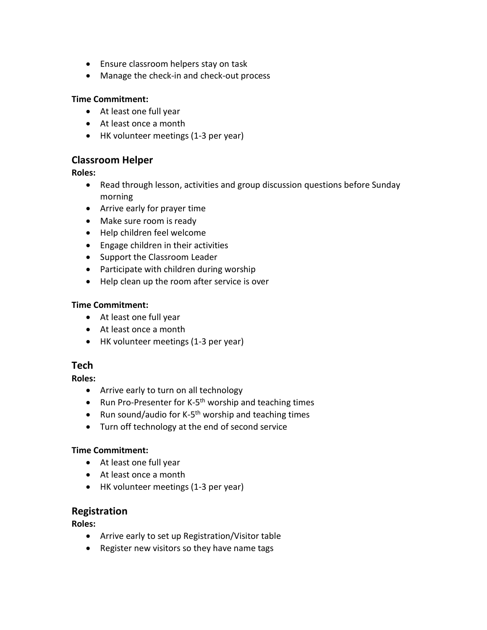- Ensure classroom helpers stay on task
- Manage the check-in and check-out process

#### **Time Commitment:**

- At least one full year
- At least once a month
- HK volunteer meetings (1-3 per year)

### **Classroom Helper**

#### **Roles:**

- Read through lesson, activities and group discussion questions before Sunday morning
- Arrive early for prayer time
- Make sure room is ready
- Help children feel welcome
- Engage children in their activities
- Support the Classroom Leader
- Participate with children during worship
- Help clean up the room after service is over

### **Time Commitment:**

- At least one full year
- At least once a month
- HK volunteer meetings (1-3 per year)

### **Tech**

**Roles:**

- Arrive early to turn on all technology
- Run Pro-Presenter for K-5<sup>th</sup> worship and teaching times
- Run sound/audio for K-5<sup>th</sup> worship and teaching times
- Turn off technology at the end of second service

### **Time Commitment:**

- At least one full year
- At least once a month
- HK volunteer meetings (1-3 per year)

# **Registration**

**Roles:**

- Arrive early to set up Registration/Visitor table
- Register new visitors so they have name tags